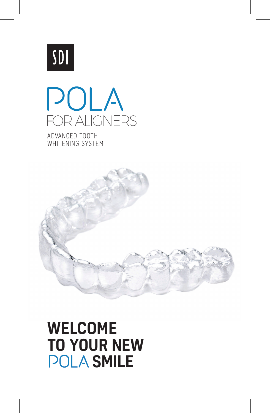



ADVANCED TOOTH WHITENING SYSTEM



# WELCOME TO YOUR NEW **POLA SMILE**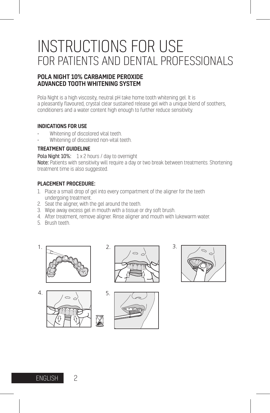## INSTRUCTIONS FOR USE FOR PATIENTS AND DENTAL PROFESSIONALS

#### POLA NIGHT 10% CARBAMIDE PEROXIDE ADVANCED TOOTH WHITENING SYSTEM

Pola Night is a high viscosity, neutral pH take home tooth whitening gel. It is a pleasantly flavoured, crystal clear sustained release gel with a unique blend of soothers, conditioners and a water content high enough to further reduce sensitivity.

#### INDICATIONS FOR USE

- Whitening of discolored vital teeth.
- Whitening of discolored non-vital teeth. 2. 1.

#### TREATMENT GUIDELINE

Pola Night 10%: 1 x 2 hours / day to overnight Note: Patients with sensitivity will require a day or two break between treatments. Shortening treatment time is also suggested.

#### PLACEMENT PROCEDURE:

- 1. Place a small drop of gel into every compartment of the aligner for the teeth 1. 3. 2. undergoing treatment.
- 2. Seat the aligner, with the gel around the teeth.
- 3. Wipe away excess gel in mouth with a tissue or dry soft brush.
- 4. After treatment, remove aligner. Rinse aligner and mouth with lukewarm water.
- 5. Brush teeth.









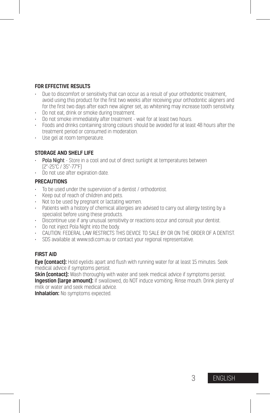#### FOR EFFECTIVE RESULTS

- Due to discomfort or sensitivity that can occur as a result of your orthodontic treatment, avoid using this product for the first two weeks after receiving your orthodontic aligners and for the first two days after each new aligner set, as whitening may increase tooth sensitivity.
- Do not eat, drink or smoke during treatment.
- Do not smoke immediately after treatment wait for at least two hours.
- Foods and drinks containing strong colours should be avoided for at least 48 hours after the treatment period or consumed in moderation.
- Use gel at room temperature.

#### STORAGE AND SHELF LIFE

- Pola Night Store in a cool and out of direct sunlight at temperatures between (2°-25°C / 35°-77°F)
- Do not use after expiration date.

#### **PRECAUTIONS**

- To be used under the supervision of a dentist / orthodontist.
- Keep out of reach of children and pets.
- Not to be used by pregnant or lactating women.
- Patients with a history of chemical allergies are advised to carry out allergy testing by a specialist before using these products.
- Discontinue use if any unusual sensitivity or reactions occur and consult your dentist.
- Do not inject Pola Night into the body.
- CAUTION: FEDERAL LAW RESTRICTS THIS DEVICE TO SALE BY OR ON THE ORDER OF A DENTIST.
- SDS available at www.sdi.com.au or contact your regional representative.

#### FIRST AID

Eye (contact): Hold eyelids apart and flush with running water for at least 15 minutes. Seek medical advice if symptoms persist.

Skin (contact): Wash thoroughly with water and seek medical advice if symptoms persist. **Ingestion (large amount):** If swallowed, do NOT induce vomiting. Rinse mouth. Drink plenty of milk or water and seek medical advice.

Inhalation: No symptoms expected.